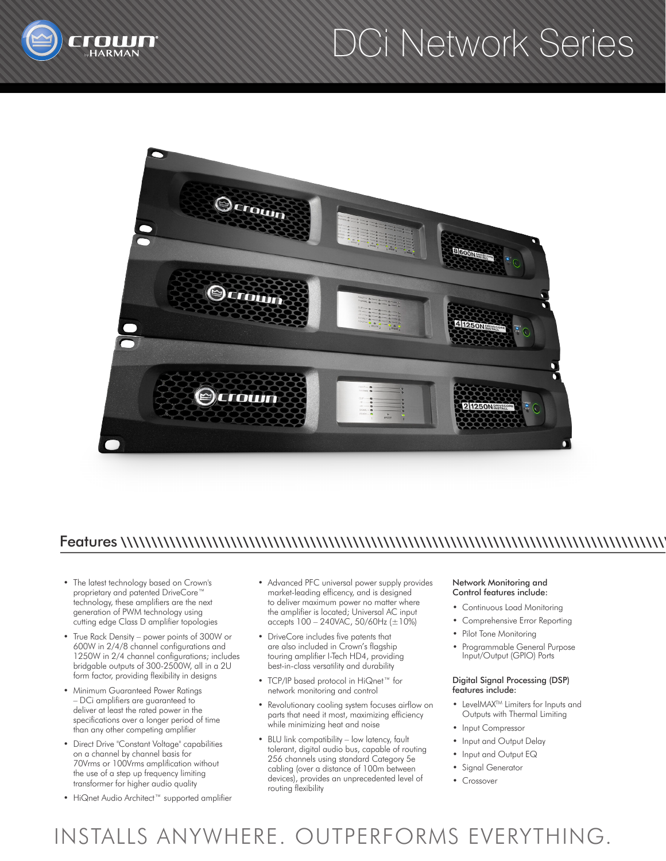

# DCi Network Series



### Features \\\\\\\\\\\\\\\\\\\\\\\\\\\\\\\\\\\\\\\\\\\\\\\\\\\\\\\\\\\\\\\\\\\\\\\\\\\\\\\\\\\\\\\\\\

- The latest technology based on Crown's proprietary and patented DriveCore™ technology, these amplifiers are the next generation of PWM technology using cutting edge Class D amplifier topologies
- True Rack Density power points of 300W or 600W in 2/4/8 channel configurations and 1250W in 2/4 channel configurations; includes bridgable outputs of 300-2500W, all in a 2U form factor, providing flexibility in designs
- Minimum Guaranteed Power Ratings – DCi amplifiers are guaranteed to deliver at least the rated power in the specifications over a longer period of time than any other competing amplifier
- Direct Drive "Constant Voltage" capabilities on a channel by channel basis for 70Vrms or 100Vrms amplification without the use of a step up frequency limiting transformer for higher audio quality
- HiQnet Audio Architect™ supported amplifier
- Advanced PFC universal power supply provides market-leading efficency, and is designed to deliver maximum power no matter where the amplifier is located; Universal AC input accepts  $100 - 240$ VAC,  $50/60$ Hz  $(\pm 10%)$
- DriveCore includes five patents that are also included in Crown's flagship touring amplifier I-Tech HD4, providing best-in-class versatility and durability
- TCP/IP based protocol in HiQnet™ for network monitoring and control
- Revolutionary cooling system focuses airflow on parts that need it most, maximizing efficiency while minimizing heat and noise
- BLU link compatibility low latency, fault tolerant, digital audio bus, capable of routing 256 channels using standard Category 5e cabling (over a distance of 100m between devices), provides an unprecedented level of routing flexibility

### Network Monitoring and Control features include:

- Continuous Load Monitoring
- Comprehensive Error Reporting
- Pilot Tone Monitoring
- Programmable General Purpose Input/Output (GPIO) Ports

### Digital Signal Processing (DSP) features include:

- LevelMAX<sup>TM</sup> Limiters for Inputs and Outputs with Thermal Limiting
- Input Compressor
- Input and Output Delay
- Input and Output EQ
- Signal Generator
- Crossover

## INSTALLS ANYWHERE. OUTPERFORMS EVERYTHING.